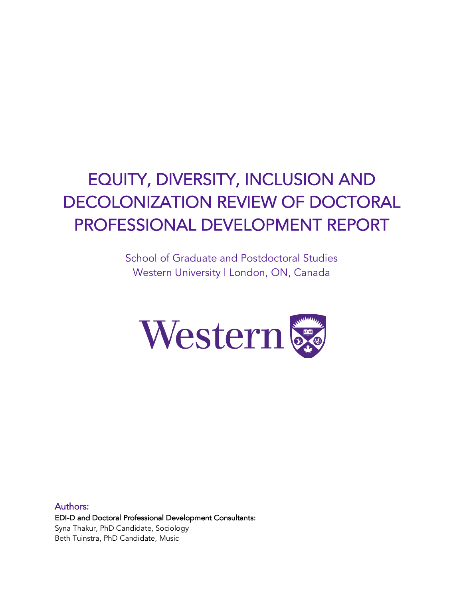# EQUITY, DIVERSITY, INCLUSION AND DECOLONIZATION REVIEW OF DOCTORAL PROFESSIONAL DEVELOPMENT REPORT

School of Graduate and Postdoctoral Studies Western University | London, ON, Canada



Authors: EDI-D and Doctoral Professional Development Consultants: Syna Thakur, PhD Candidate, Sociology Beth Tuinstra, PhD Candidate, Music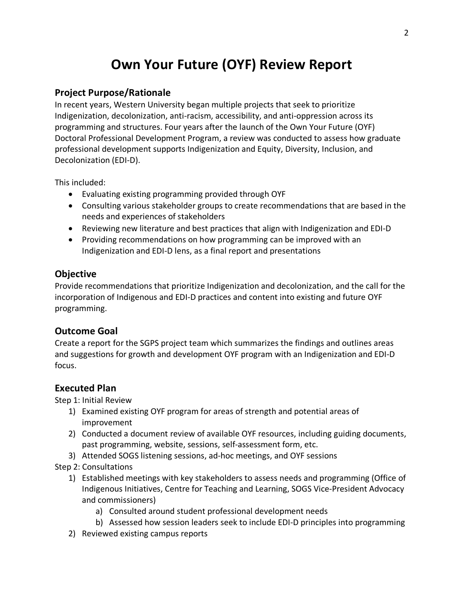## **Own Your Future (OYF) Review Report**

#### **Project Purpose/Rationale**

In recent years, Western University began multiple projects that seek to prioritize Indigenization, decolonization, anti-racism, accessibility, and anti-oppression across its programming and structures. Four years after the launch of the Own Your Future (OYF) Doctoral Professional Development Program, a review was conducted to assess how graduate professional development supports Indigenization and Equity, Diversity, Inclusion, and Decolonization (EDI-D).

This included:

- Evaluating existing programming provided through OYF
- Consulting various stakeholder groups to create recommendations that are based in the needs and experiences of stakeholders
- Reviewing new literature and best practices that align with Indigenization and EDI-D
- Providing recommendations on how programming can be improved with an Indigenization and EDI-D lens, as a final report and presentations

#### **Objective**

Provide recommendations that prioritize Indigenization and decolonization, and the call for the incorporation of Indigenous and EDI-D practices and content into existing and future OYF programming.

## **Outcome Goal**

Create a report for the SGPS project team which summarizes the findings and outlines areas and suggestions for growth and development OYF program with an Indigenization and EDI-D focus.

## **Executed Plan**

Step 1: Initial Review

- 1) Examined existing OYF program for areas of strength and potential areas of improvement
- 2) Conducted a document review of available OYF resources, including guiding documents, past programming, website, sessions, self-assessment form, etc.
- 3) Attended SOGS listening sessions, ad-hoc meetings, and OYF sessions
- Step 2: Consultations
	- 1) Established meetings with key stakeholders to assess needs and programming (Office of Indigenous Initiatives, Centre for Teaching and Learning, SOGS Vice-President Advocacy and commissioners)
		- a) Consulted around student professional development needs
		- b) Assessed how session leaders seek to include EDI-D principles into programming
	- 2) Reviewed existing campus reports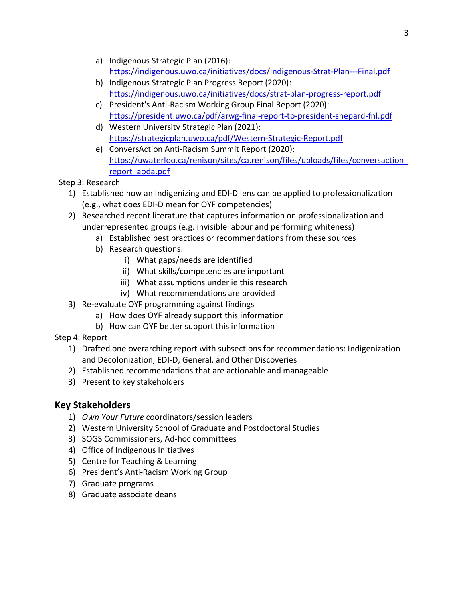- a) Indigenous Strategic Plan (2016): https://indigenous.uwo.ca/initiatives/docs/Indigenous-Strat-Plan---Final.pdf
- b) Indigenous Strategic Plan Progress Report (2020): https://indigenous.uwo.ca/initiatives/docs/strat-plan-progress-report.pdf
- c) President's Anti-Racism Working Group Final Report (2020): https://president.uwo.ca/pdf/arwg-final-report-to-president-shepard-fnl.pdf
- d) Western University Strategic Plan (2021): https://strategicplan.uwo.ca/pdf/Western-Strategic-Report.pdf
- e) ConversAction Anti-Racism Summit Report (2020): https://uwaterloo.ca/renison/sites/ca.renison/files/uploads/files/conversaction\_ report\_aoda.pdf

## Step 3: Research

- 1) Established how an Indigenizing and EDI-D lens can be applied to professionalization (e.g., what does EDI-D mean for OYF competencies)
- 2) Researched recent literature that captures information on professionalization and underrepresented groups (e.g. invisible labour and performing whiteness)
	- a) Established best practices or recommendations from these sources
	- b) Research questions:
		- i) What gaps/needs are identified
		- ii) What skills/competencies are important
		- iii) What assumptions underlie this research
		- iv) What recommendations are provided
- 3) Re-evaluate OYF programming against findings
	- a) How does OYF already support this information
	- b) How can OYF better support this information

Step 4: Report

- 1) Drafted one overarching report with subsections for recommendations: Indigenization and Decolonization, EDI-D, General, and Other Discoveries
- 2) Established recommendations that are actionable and manageable
- 3) Present to key stakeholders

## **Key Stakeholders**

- 1) *Own Your Future* coordinators/session leaders
- 2) Western University School of Graduate and Postdoctoral Studies
- 3) SOGS Commissioners, Ad-hoc committees
- 4) Office of Indigenous Initiatives
- 5) Centre for Teaching & Learning
- 6) President's Anti-Racism Working Group
- 7) Graduate programs
- 8) Graduate associate deans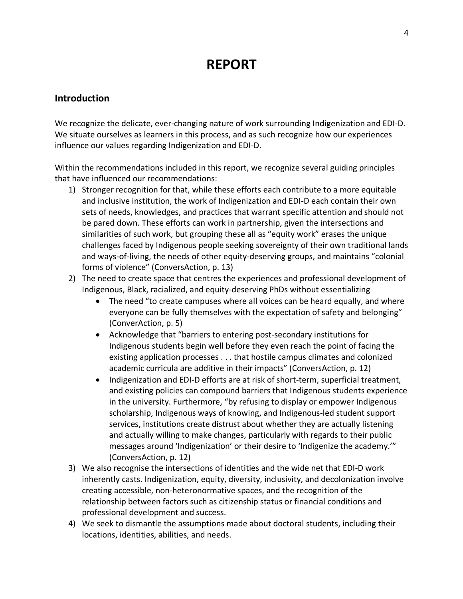## **REPORT**

### **Introduction**

We recognize the delicate, ever-changing nature of work surrounding Indigenization and EDI-D. We situate ourselves as learners in this process, and as such recognize how our experiences influence our values regarding Indigenization and EDI-D.

Within the recommendations included in this report, we recognize several guiding principles that have influenced our recommendations:

- 1) Stronger recognition for that, while these efforts each contribute to a more equitable and inclusive institution, the work of Indigenization and EDI-D each contain their own sets of needs, knowledges, and practices that warrant specific attention and should not be pared down. These efforts can work in partnership, given the intersections and similarities of such work, but grouping these all as "equity work" erases the unique challenges faced by Indigenous people seeking sovereignty of their own traditional lands and ways-of-living, the needs of other equity-deserving groups, and maintains "colonial forms of violence" (ConversAction, p. 13)
- 2) The need to create space that centres the experiences and professional development of Indigenous, Black, racialized, and equity-deserving PhDs without essentializing
	- The need "to create campuses where all voices can be heard equally, and where everyone can be fully themselves with the expectation of safety and belonging" (ConverAction, p. 5)
	- Acknowledge that "barriers to entering post-secondary institutions for Indigenous students begin well before they even reach the point of facing the existing application processes . . . that hostile campus climates and colonized academic curricula are additive in their impacts" (ConversAction, p. 12)
	- Indigenization and EDI-D efforts are at risk of short-term, superficial treatment, and existing policies can compound barriers that Indigenous students experience in the university. Furthermore, "by refusing to display or empower Indigenous scholarship, Indigenous ways of knowing, and Indigenous-led student support services, institutions create distrust about whether they are actually listening and actually willing to make changes, particularly with regards to their public messages around 'Indigenization' or their desire to 'Indigenize the academy.'" (ConversAction, p. 12)
- 3) We also recognise the intersections of identities and the wide net that EDI-D work inherently casts. Indigenization, equity, diversity, inclusivity, and decolonization involve creating accessible, non-heteronormative spaces, and the recognition of the relationship between factors such as citizenship status or financial conditions and professional development and success.
- 4) We seek to dismantle the assumptions made about doctoral students, including their locations, identities, abilities, and needs.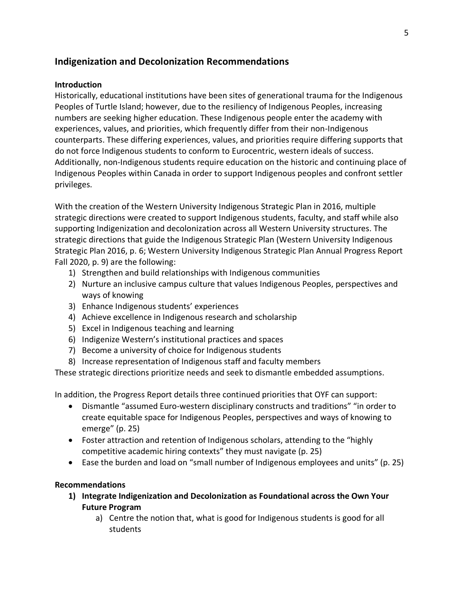## **Indigenization and Decolonization Recommendations**

#### **Introduction**

Historically, educational institutions have been sites of generational trauma for the Indigenous Peoples of Turtle Island; however, due to the resiliency of Indigenous Peoples, increasing numbers are seeking higher education. These Indigenous people enter the academy with experiences, values, and priorities, which frequently differ from their non-Indigenous counterparts. These differing experiences, values, and priorities require differing supports that do not force Indigenous students to conform to Eurocentric, western ideals of success. Additionally, non-Indigenous students require education on the historic and continuing place of Indigenous Peoples within Canada in order to support Indigenous peoples and confront settler privileges.

With the creation of the Western University Indigenous Strategic Plan in 2016, multiple strategic directions were created to support Indigenous students, faculty, and staff while also supporting Indigenization and decolonization across all Western University structures. The strategic directions that guide the Indigenous Strategic Plan (Western University Indigenous Strategic Plan 2016, p. 6; Western University Indigenous Strategic Plan Annual Progress Report Fall 2020, p. 9) are the following:

- 1) Strengthen and build relationships with Indigenous communities
- 2) Nurture an inclusive campus culture that values Indigenous Peoples, perspectives and ways of knowing
- 3) Enhance Indigenous students' experiences
- 4) Achieve excellence in Indigenous research and scholarship
- 5) Excel in Indigenous teaching and learning
- 6) Indigenize Western's institutional practices and spaces
- 7) Become a university of choice for Indigenous students
- 8) Increase representation of Indigenous staff and faculty members

These strategic directions prioritize needs and seek to dismantle embedded assumptions.

In addition, the Progress Report details three continued priorities that OYF can support:

- Dismantle "assumed Euro-western disciplinary constructs and traditions" "in order to create equitable space for Indigenous Peoples, perspectives and ways of knowing to emerge" (p. 25)
- Foster attraction and retention of Indigenous scholars, attending to the "highly competitive academic hiring contexts" they must navigate (p. 25)
- Ease the burden and load on "small number of Indigenous employees and units" (p. 25)

#### **Recommendations**

- **1) Integrate Indigenization and Decolonization as Foundational across the Own Your Future Program**
	- a) Centre the notion that, what is good for Indigenous students is good for all students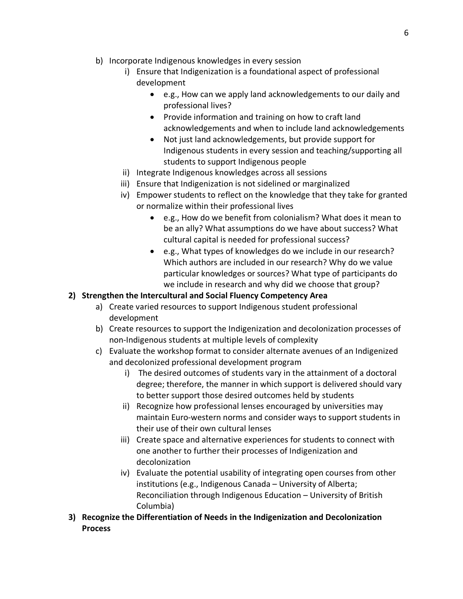- b) Incorporate Indigenous knowledges in every session
	- i) Ensure that Indigenization is a foundational aspect of professional development
		- e.g., How can we apply land acknowledgements to our daily and professional lives?
		- Provide information and training on how to craft land acknowledgements and when to include land acknowledgements
		- Not just land acknowledgements, but provide support for Indigenous students in every session and teaching/supporting all students to support Indigenous people
	- ii) Integrate Indigenous knowledges across all sessions
	- iii) Ensure that Indigenization is not sidelined or marginalized
	- iv) Empower students to reflect on the knowledge that they take for granted or normalize within their professional lives
		- e.g., How do we benefit from colonialism? What does it mean to be an ally? What assumptions do we have about success? What cultural capital is needed for professional success?
		- e.g., What types of knowledges do we include in our research? Which authors are included in our research? Why do we value particular knowledges or sources? What type of participants do we include in research and why did we choose that group?

## **2) Strengthen the Intercultural and Social Fluency Competency Area**

- a) Create varied resources to support Indigenous student professional development
- b) Create resources to support the Indigenization and decolonization processes of non-Indigenous students at multiple levels of complexity
- c) Evaluate the workshop format to consider alternate avenues of an Indigenized and decolonized professional development program
	- i) The desired outcomes of students vary in the attainment of a doctoral degree; therefore, the manner in which support is delivered should vary to better support those desired outcomes held by students
	- ii) Recognize how professional lenses encouraged by universities may maintain Euro-western norms and consider ways to support students in their use of their own cultural lenses
	- iii) Create space and alternative experiences for students to connect with one another to further their processes of Indigenization and decolonization
	- iv) Evaluate the potential usability of integrating open courses from other institutions (e.g., Indigenous Canada – University of Alberta; Reconciliation through Indigenous Education – University of British Columbia)
- **3) Recognize the Differentiation of Needs in the Indigenization and Decolonization Process**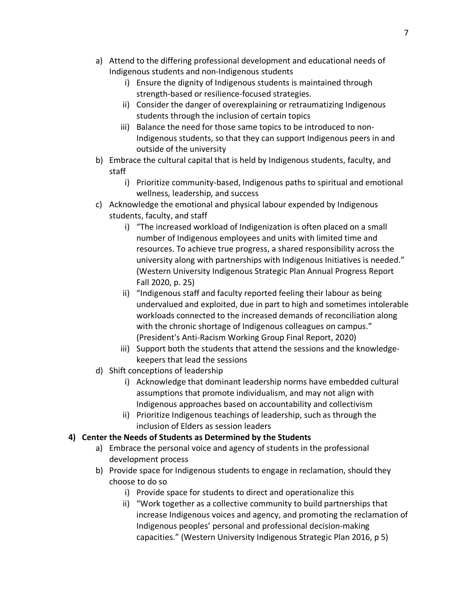- a) Attend to the differing professional development and educational needs of Indigenous students and non-Indigenous students
	- i) Ensure the dignity of Indigenous students is maintained through strength-based or resilience-focused strategies.
	- ii) Consider the danger of overexplaining or retraumatizing Indigenous students through the inclusion of certain topics
	- iii) Balance the need for those same topics to be introduced to non-Indigenous students, so that they can support Indigenous peers in and outside of the university
- b) Embrace the cultural capital that is held by Indigenous students, faculty, and staff
	- i) Prioritize community-based, Indigenous paths to spiritual and emotional wellness, leadership, and success
- c) Acknowledge the emotional and physical labour expended by Indigenous students, faculty, and staff
	- i) "The increased workload of Indigenization is often placed on a small number of Indigenous employees and units with limited time and resources. To achieve true progress, a shared responsibility across the university along with partnerships with Indigenous Initiatives is needed." (Western University Indigenous Strategic Plan Annual Progress Report Fall 2020, p. 25)
	- ii) "Indigenous staff and faculty reported feeling their labour as being undervalued and exploited, due in part to high and sometimes intolerable workloads connected to the increased demands of reconciliation along with the chronic shortage of Indigenous colleagues on campus." (President's Anti-Racism Working Group Final Report, 2020)
	- iii) Support both the students that attend the sessions and the knowledgekeepers that lead the sessions
- d) Shift conceptions of leadership
	- i) Acknowledge that dominant leadership norms have embedded cultural assumptions that promote individualism, and may not align with Indigenous approaches based on accountability and collectivism
	- ii) Prioritize Indigenous teachings of leadership, such as through the inclusion of Elders as session leaders

## **4) Center the Needs of Students as Determined by the Students**

- a) Embrace the personal voice and agency of students in the professional development process
- b) Provide space for Indigenous students to engage in reclamation, should they choose to do so
	- i) Provide space for students to direct and operationalize this
	- ii) "Work together as a collective community to build partnerships that increase Indigenous voices and agency, and promoting the reclamation of Indigenous peoples' personal and professional decision-making capacities." (Western University Indigenous Strategic Plan 2016, p 5)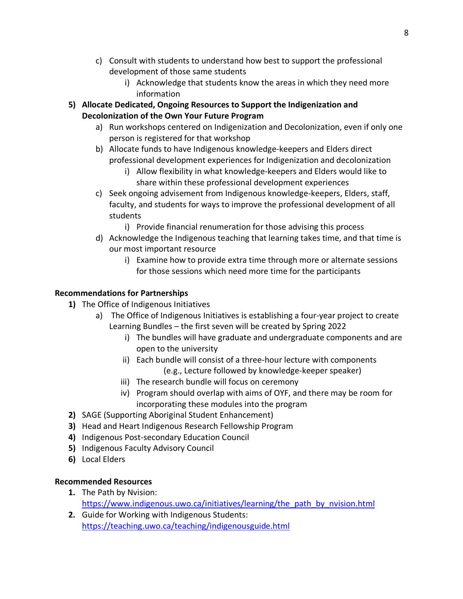- c) Consult with students to understand how best to support the professional development of those same students
	- i) Acknowledge that students know the areas in which they need more information
- **5) Allocate Dedicated, Ongoing Resources to Support the Indigenization and Decolonization of the Own Your Future Program**
	- a) Run workshops centered on Indigenization and Decolonization, even if only one person is registered for that workshop
	- b) Allocate funds to have Indigenous knowledge-keepers and Elders direct professional development experiences for Indigenization and decolonization
		- i) Allow flexibility in what knowledge-keepers and Elders would like to share within these professional development experiences
	- c) Seek ongoing advisement from Indigenous knowledge-keepers, Elders, staff, faculty, and students for ways to improve the professional development of all students
		- i) Provide financial renumeration for those advising this process
	- d) Acknowledge the Indigenous teaching that learning takes time, and that time is our most important resource
		- i) Examine how to provide extra time through more or alternate sessions for those sessions which need more time for the participants

## **Recommendations for Partnerships**

- **1)** The Office of Indigenous Initiatives
	- a) The Office of Indigenous Initiatives is establishing a four-year project to create Learning Bundles – the first seven will be created by Spring 2022
		- i) The bundles will have graduate and undergraduate components and are open to the university
		- ii) Each bundle will consist of a three-hour lecture with components (e.g., Lecture followed by knowledge-keeper speaker)
		- iii) The research bundle will focus on ceremony
		- iv) Program should overlap with aims of OYF, and there may be room for incorporating these modules into the program
- **2)** SAGE (Supporting Aboriginal Student Enhancement)
- **3)** Head and Heart Indigenous Research Fellowship Program
- **4)** Indigenous Post-secondary Education Council
- **5)** Indigenous Faculty Advisory Council
- **6)** Local Elders

## **Recommended Resources**

- **1.** The Path by Nvision: https://www.indigenous.uwo.ca/initiatives/learning/the\_path\_by\_nvision.html
- **2.** Guide for Working with Indigenous Students: https://teaching.uwo.ca/teaching/indigenousguide.html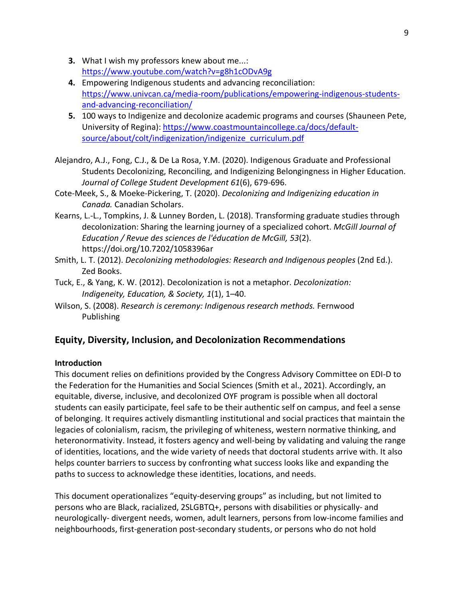- **3.** What I wish my professors knew about me...: https://www.youtube.com/watch?v=g8h1cODvA9g
- **4.** Empowering Indigenous students and advancing reconciliation: https://www.univcan.ca/media-room/publications/empowering-indigenous-studentsand-advancing-reconciliation/
- **5.** 100 ways to Indigenize and decolonize academic programs and courses (Shauneen Pete, University of Regina): https://www.coastmountaincollege.ca/docs/defaultsource/about/colt/indigenization/indigenize\_curriculum.pdf
- Alejandro, A.J., Fong, C.J., & De La Rosa, Y.M. (2020). Indigenous Graduate and Professional Students Decolonizing, Reconciling, and Indigenizing Belongingness in Higher Education. *Journal of College Student Development 61*(6), 679-696.
- Cote-Meek, S., & Moeke-Pickering, T. (2020). *Decolonizing and Indigenizing education in Canada.* Canadian Scholars.
- Kearns, L.-L., Tompkins, J. & Lunney Borden, L. (2018). Transforming graduate studies through decolonization: Sharing the learning journey of a specialized cohort. *McGill Journal of Education / Revue des sciences de l'éducation de McGill, 53*(2). https://doi.org/10.7202/1058396ar
- Smith, L. T. (2012). *Decolonizing methodologies: Research and Indigenous peoples* (2nd Ed.). Zed Books.
- Tuck, E., & Yang, K. W. (2012). Decolonization is not a metaphor. *Decolonization: Indigeneity, Education, & Society, 1*(1), 1–40.
- Wilson, S. (2008). *Research is ceremony: Indigenous research methods.* Fernwood Publishing

## **Equity, Diversity, Inclusion, and Decolonization Recommendations**

#### **Introduction**

This document relies on definitions provided by the Congress Advisory Committee on EDI-D to the Federation for the Humanities and Social Sciences (Smith et al., 2021). Accordingly, an equitable, diverse, inclusive, and decolonized OYF program is possible when all doctoral students can easily participate, feel safe to be their authentic self on campus, and feel a sense of belonging. It requires actively dismantling institutional and social practices that maintain the legacies of colonialism, racism, the privileging of whiteness, western normative thinking, and heteronormativity. Instead, it fosters agency and well-being by validating and valuing the range of identities, locations, and the wide variety of needs that doctoral students arrive with. It also helps counter barriers to success by confronting what success looks like and expanding the paths to success to acknowledge these identities, locations, and needs.

This document operationalizes "equity-deserving groups" as including, but not limited to persons who are Black, racialized, 2SLGBTQ+, persons with disabilities or physically- and neurologically- divergent needs, women, adult learners, persons from low-income families and neighbourhoods, first-generation post-secondary students, or persons who do not hold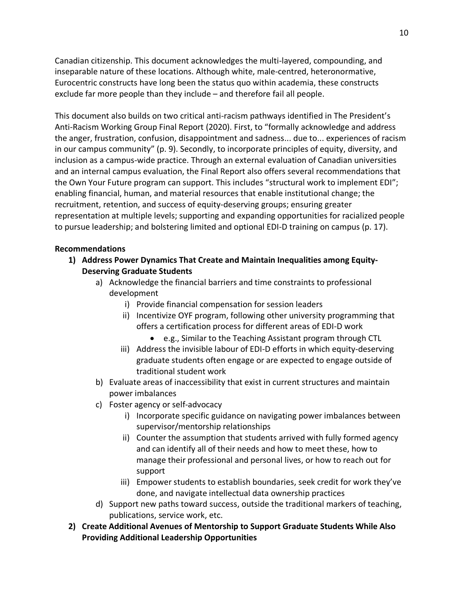Canadian citizenship. This document acknowledges the multi-layered, compounding, and inseparable nature of these locations. Although white, male-centred, heteronormative, Eurocentric constructs have long been the status quo within academia, these constructs exclude far more people than they include – and therefore fail all people.

This document also builds on two critical anti-racism pathways identified in The President's Anti-Racism Working Group Final Report (2020). First, to "formally acknowledge and address the anger, frustration, confusion, disappointment and sadness... due to... experiences of racism in our campus community" (p. 9). Secondly, to incorporate principles of equity, diversity, and inclusion as a campus-wide practice. Through an external evaluation of Canadian universities and an internal campus evaluation, the Final Report also offers several recommendations that the Own Your Future program can support. This includes "structural work to implement EDI"; enabling financial, human, and material resources that enable institutional change; the recruitment, retention, and success of equity-deserving groups; ensuring greater representation at multiple levels; supporting and expanding opportunities for racialized people to pursue leadership; and bolstering limited and optional EDI-D training on campus (p. 17).

#### **Recommendations**

- **1) Address Power Dynamics That Create and Maintain Inequalities among Equity-Deserving Graduate Students**
	- a) Acknowledge the financial barriers and time constraints to professional development
		- i) Provide financial compensation for session leaders
		- ii) Incentivize OYF program, following other university programming that offers a certification process for different areas of EDI-D work
			- e.g., Similar to the Teaching Assistant program through CTL
		- iii) Address the invisible labour of EDI-D efforts in which equity-deserving graduate students often engage or are expected to engage outside of traditional student work
	- b) Evaluate areas of inaccessibility that exist in current structures and maintain power imbalances
	- c) Foster agency or self-advocacy
		- i) Incorporate specific guidance on navigating power imbalances between supervisor/mentorship relationships
		- ii) Counter the assumption that students arrived with fully formed agency and can identify all of their needs and how to meet these, how to manage their professional and personal lives, or how to reach out for support
		- iii) Empower students to establish boundaries, seek credit for work they've done, and navigate intellectual data ownership practices
	- d) Support new paths toward success, outside the traditional markers of teaching, publications, service work, etc.
- **2) Create Additional Avenues of Mentorship to Support Graduate Students While Also Providing Additional Leadership Opportunities**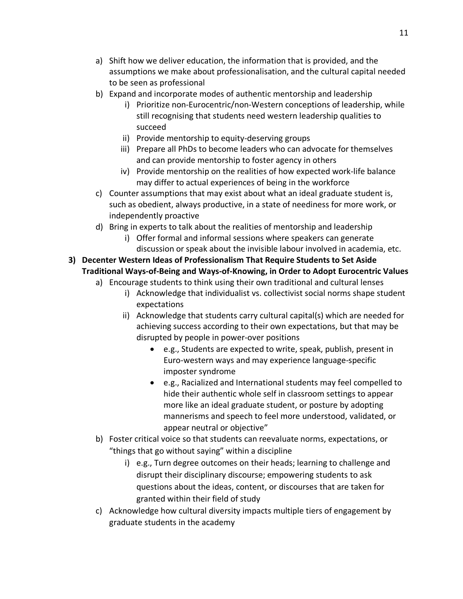- a) Shift how we deliver education, the information that is provided, and the assumptions we make about professionalisation, and the cultural capital needed to be seen as professional
- b) Expand and incorporate modes of authentic mentorship and leadership
	- i) Prioritize non-Eurocentric/non-Western conceptions of leadership, while still recognising that students need western leadership qualities to succeed
	- ii) Provide mentorship to equity-deserving groups
	- iii) Prepare all PhDs to become leaders who can advocate for themselves and can provide mentorship to foster agency in others
	- iv) Provide mentorship on the realities of how expected work-life balance may differ to actual experiences of being in the workforce
- c) Counter assumptions that may exist about what an ideal graduate student is, such as obedient, always productive, in a state of neediness for more work, or independently proactive
- d) Bring in experts to talk about the realities of mentorship and leadership
	- i) Offer formal and informal sessions where speakers can generate discussion or speak about the invisible labour involved in academia, etc.
- **3) Decenter Western Ideas of Professionalism That Require Students to Set Aside Traditional Ways-of-Being and Ways-of-Knowing, in Order to Adopt Eurocentric Values**
	- a) Encourage students to think using their own traditional and cultural lenses
		- i) Acknowledge that individualist vs. collectivist social norms shape student expectations
		- ii) Acknowledge that students carry cultural capital(s) which are needed for achieving success according to their own expectations, but that may be disrupted by people in power-over positions
			- e.g., Students are expected to write, speak, publish, present in Euro-western ways and may experience language-specific imposter syndrome
			- e.g., Racialized and International students may feel compelled to hide their authentic whole self in classroom settings to appear more like an ideal graduate student, or posture by adopting mannerisms and speech to feel more understood, validated, or appear neutral or objective"
	- b) Foster critical voice so that students can reevaluate norms, expectations, or "things that go without saying" within a discipline
		- i) e.g., Turn degree outcomes on their heads; learning to challenge and disrupt their disciplinary discourse; empowering students to ask questions about the ideas, content, or discourses that are taken for granted within their field of study
	- c) Acknowledge how cultural diversity impacts multiple tiers of engagement by graduate students in the academy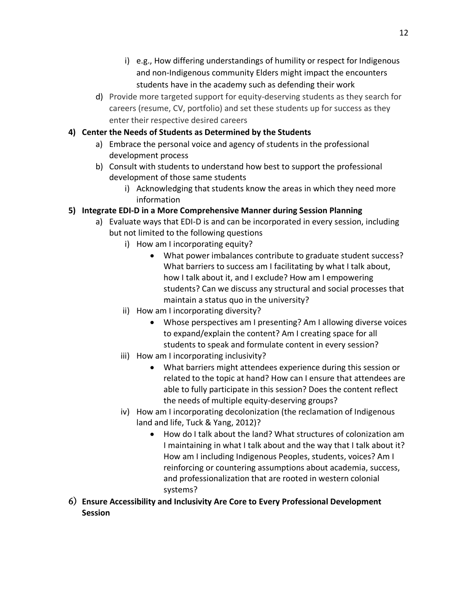- i) e.g., How differing understandings of humility or respect for Indigenous and non-Indigenous community Elders might impact the encounters students have in the academy such as defending their work
- d) Provide more targeted support for equity-deserving students as they search for careers (resume, CV, portfolio) and set these students up for success as they enter their respective desired careers

#### **4) Center the Needs of Students as Determined by the Students**

- a) Embrace the personal voice and agency of students in the professional development process
- b) Consult with students to understand how best to support the professional development of those same students
	- i) Acknowledging that students know the areas in which they need more information
- **5) Integrate EDI-D in a More Comprehensive Manner during Session Planning**
	- a) Evaluate ways that EDI-D is and can be incorporated in every session, including but not limited to the following questions
		- i) How am I incorporating equity?
			- What power imbalances contribute to graduate student success? What barriers to success am I facilitating by what I talk about, how I talk about it, and I exclude? How am I empowering students? Can we discuss any structural and social processes that maintain a status quo in the university?
		- ii) How am I incorporating diversity?
			- Whose perspectives am I presenting? Am I allowing diverse voices to expand/explain the content? Am I creating space for all students to speak and formulate content in every session?
		- iii) How am I incorporating inclusivity?
			- What barriers might attendees experience during this session or related to the topic at hand? How can I ensure that attendees are able to fully participate in this session? Does the content reflect the needs of multiple equity-deserving groups?
		- iv) How am I incorporating decolonization (the reclamation of Indigenous land and life, Tuck & Yang, 2012)?
			- How do I talk about the land? What structures of colonization am I maintaining in what I talk about and the way that I talk about it? How am I including Indigenous Peoples, students, voices? Am I reinforcing or countering assumptions about academia, success, and professionalization that are rooted in western colonial systems?
- 6) **Ensure Accessibility and Inclusivity Are Core to Every Professional Development Session**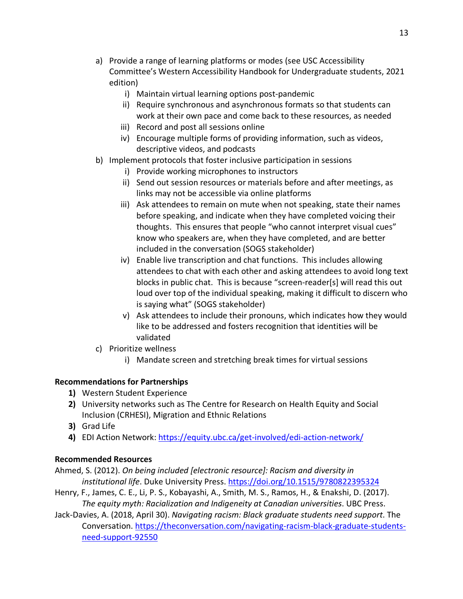- a) Provide a range of learning platforms or modes (see USC Accessibility Committee's Western Accessibility Handbook for Undergraduate students, 2021 edition)
	- i) Maintain virtual learning options post-pandemic
	- ii) Require synchronous and asynchronous formats so that students can work at their own pace and come back to these resources, as needed
	- iii) Record and post all sessions online
	- iv) Encourage multiple forms of providing information, such as videos, descriptive videos, and podcasts
- b) Implement protocols that foster inclusive participation in sessions
	- i) Provide working microphones to instructors
	- ii) Send out session resources or materials before and after meetings, as links may not be accessible via online platforms
	- iii) Ask attendees to remain on mute when not speaking, state their names before speaking, and indicate when they have completed voicing their thoughts. This ensures that people "who cannot interpret visual cues" know who speakers are, when they have completed, and are better included in the conversation (SOGS stakeholder)
	- iv) Enable live transcription and chat functions. This includes allowing attendees to chat with each other and asking attendees to avoid long text blocks in public chat. This is because "screen-reader[s] will read this out loud over top of the individual speaking, making it difficult to discern who is saying what" (SOGS stakeholder)
	- v) Ask attendees to include their pronouns, which indicates how they would like to be addressed and fosters recognition that identities will be validated
- c) Prioritize wellness
	- i) Mandate screen and stretching break times for virtual sessions

#### **Recommendations for Partnerships**

- **1)** Western Student Experience
- **2)** University networks such as The Centre for Research on Health Equity and Social Inclusion (CRHESI), Migration and Ethnic Relations
- **3)** Grad Life
- **4)** EDI Action Network: https://equity.ubc.ca/get-involved/edi-action-network/

#### **Recommended Resources**

- Ahmed, S. (2012). *On being included [electronic resource]: Racism and diversity in institutional life*. Duke University Press. https://doi.org/10.1515/9780822395324
- Henry, F., James, C. E., Li, P. S., Kobayashi, A., Smith, M. S., Ramos, H., & Enakshi, D. (2017). *The equity myth: Racialization and Indigeneity at Canadian universities*. UBC Press.
- Jack-Davies, A. (2018, April 30). *Navigating racism: Black graduate students need support*. The Conversation. https://theconversation.com/navigating-racism-black-graduate-studentsneed-support-92550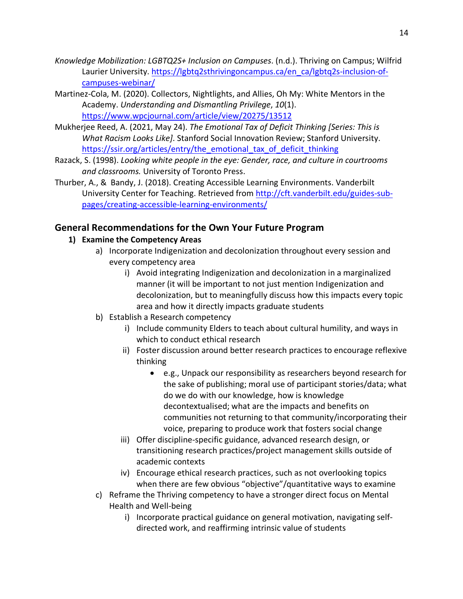- *Knowledge Mobilization: LGBTQ2S+ Inclusion on Campuses*. (n.d.). Thriving on Campus; Wilfrid Laurier University. https://lgbtq2sthrivingoncampus.ca/en\_ca/lgbtq2s-inclusion-ofcampuses-webinar/
- Martinez-Cola, M. (2020). Collectors, Nightlights, and Allies, Oh My: White Mentors in the Academy. *Understanding and Dismantling Privilege*, *10*(1). https://www.wpcjournal.com/article/view/20275/13512
- Mukherjee Reed, A. (2021, May 24). *The Emotional Tax of Deficit Thinking [Series: This is What Racism Looks Like]*. Stanford Social Innovation Review; Stanford University. https://ssir.org/articles/entry/the\_emotional\_tax\_of\_deficit\_thinking
- Razack, S. (1998). *Looking white people in the eye: Gender, race, and culture in courtrooms and classrooms.* University of Toronto Press.
- Thurber, A., & Bandy, J. (2018). Creating Accessible Learning Environments. Vanderbilt University Center for Teaching. Retrieved from http://cft.vanderbilt.edu/guides-subpages/creating-accessible-learning-environments/

## **General Recommendations for the Own Your Future Program**

## **1) Examine the Competency Areas**

- a) Incorporate Indigenization and decolonization throughout every session and every competency area
	- i) Avoid integrating Indigenization and decolonization in a marginalized manner (it will be important to not just mention Indigenization and decolonization, but to meaningfully discuss how this impacts every topic area and how it directly impacts graduate students
- b) Establish a Research competency
	- i) Include community Elders to teach about cultural humility, and ways in which to conduct ethical research
	- ii) Foster discussion around better research practices to encourage reflexive thinking
		- e.g., Unpack our responsibility as researchers beyond research for the sake of publishing; moral use of participant stories/data; what do we do with our knowledge, how is knowledge decontextualised; what are the impacts and benefits on communities not returning to that community/incorporating their voice, preparing to produce work that fosters social change
	- iii) Offer discipline-specific guidance, advanced research design, or transitioning research practices/project management skills outside of academic contexts
	- iv) Encourage ethical research practices, such as not overlooking topics when there are few obvious "objective"/quantitative ways to examine
- c) Reframe the Thriving competency to have a stronger direct focus on Mental Health and Well-being
	- i) Incorporate practical guidance on general motivation, navigating selfdirected work, and reaffirming intrinsic value of students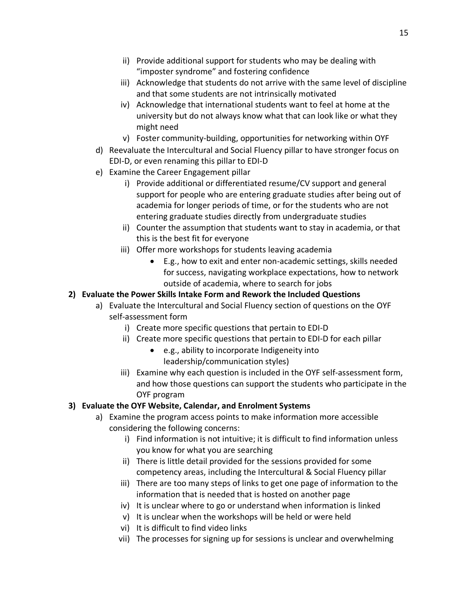- ii) Provide additional support for students who may be dealing with "imposter syndrome" and fostering confidence
- iii) Acknowledge that students do not arrive with the same level of discipline and that some students are not intrinsically motivated
- iv) Acknowledge that international students want to feel at home at the university but do not always know what that can look like or what they might need
- v) Foster community-building, opportunities for networking within OYF
- d) Reevaluate the Intercultural and Social Fluency pillar to have stronger focus on EDI-D, or even renaming this pillar to EDI-D
- e) Examine the Career Engagement pillar
	- i) Provide additional or differentiated resume/CV support and general support for people who are entering graduate studies after being out of academia for longer periods of time, or for the students who are not entering graduate studies directly from undergraduate studies
	- ii) Counter the assumption that students want to stay in academia, or that this is the best fit for everyone
	- iii) Offer more workshops for students leaving academia
		- E.g., how to exit and enter non-academic settings, skills needed for success, navigating workplace expectations, how to network outside of academia, where to search for jobs

#### **2) Evaluate the Power Skills Intake Form and Rework the Included Questions**

- a) Evaluate the Intercultural and Social Fluency section of questions on the OYF self-assessment form
	- i) Create more specific questions that pertain to EDI-D
	- ii) Create more specific questions that pertain to EDI-D for each pillar
		- e.g., ability to incorporate Indigeneity into leadership/communication styles)
	- iii) Examine why each question is included in the OYF self-assessment form, and how those questions can support the students who participate in the OYF program

## **3) Evaluate the OYF Website, Calendar, and Enrolment Systems**

- a) Examine the program access points to make information more accessible considering the following concerns:
	- i) Find information is not intuitive; it is difficult to find information unless you know for what you are searching
	- ii) There is little detail provided for the sessions provided for some competency areas, including the Intercultural & Social Fluency pillar
	- iii) There are too many steps of links to get one page of information to the information that is needed that is hosted on another page
	- iv) It is unclear where to go or understand when information is linked
	- v) It is unclear when the workshops will be held or were held
	- vi) It is difficult to find video links
	- vii) The processes for signing up for sessions is unclear and overwhelming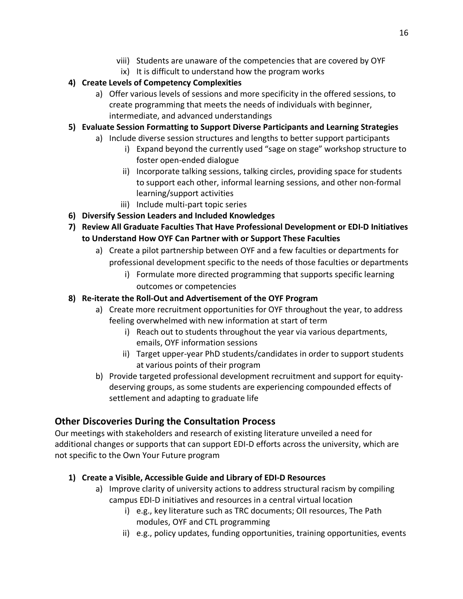- viii) Students are unaware of the competencies that are covered by OYF
- ix) It is difficult to understand how the program works

## **4) Create Levels of Competency Complexities**

- a) Offer various levels of sessions and more specificity in the offered sessions, to create programming that meets the needs of individuals with beginner, intermediate, and advanced understandings
- **5) Evaluate Session Formatting to Support Diverse Participants and Learning Strategies**
	- a) Include diverse session structures and lengths to better support participants
		- i) Expand beyond the currently used "sage on stage" workshop structure to foster open-ended dialogue
		- ii) Incorporate talking sessions, talking circles, providing space for students to support each other, informal learning sessions, and other non-formal learning/support activities
		- iii) Include multi-part topic series
- **6) Diversify Session Leaders and Included Knowledges**
- **7) Review All Graduate Faculties That Have Professional Development or EDI-D Initiatives to Understand How OYF Can Partner with or Support These Faculties**
	- a) Create a pilot partnership between OYF and a few faculties or departments for professional development specific to the needs of those faculties or departments
		- i) Formulate more directed programming that supports specific learning outcomes or competencies
- **8) Re-iterate the Roll-Out and Advertisement of the OYF Program**
	- a) Create more recruitment opportunities for OYF throughout the year, to address feeling overwhelmed with new information at start of term
		- i) Reach out to students throughout the year via various departments, emails, OYF information sessions
		- ii) Target upper-year PhD students/candidates in order to support students at various points of their program
	- b) Provide targeted professional development recruitment and support for equitydeserving groups, as some students are experiencing compounded effects of settlement and adapting to graduate life

## **Other Discoveries During the Consultation Process**

Our meetings with stakeholders and research of existing literature unveiled a need for additional changes or supports that can support EDI-D efforts across the university, which are not specific to the Own Your Future program

## **1) Create a Visible, Accessible Guide and Library of EDI-D Resources**

- a) Improve clarity of university actions to address structural racism by compiling campus EDI-D initiatives and resources in a central virtual location
	- i) e.g., key literature such as TRC documents; OII resources, The Path modules, OYF and CTL programming
	- ii) e.g., policy updates, funding opportunities, training opportunities, events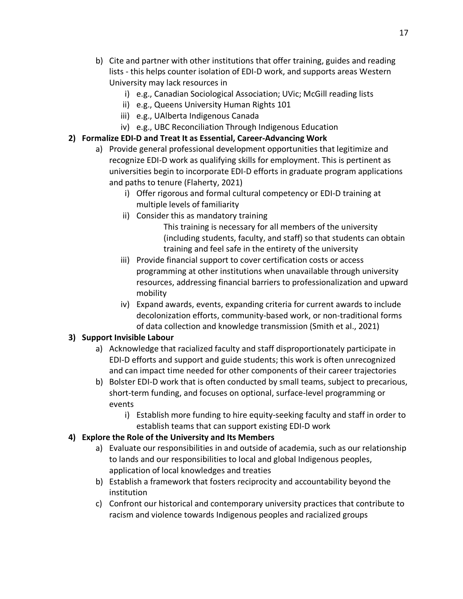- b) Cite and partner with other institutions that offer training, guides and reading lists - this helps counter isolation of EDI-D work, and supports areas Western University may lack resources in
	- i) e.g., Canadian Sociological Association; UVic; McGill reading lists
	- ii) e.g., Queens University Human Rights 101
	- iii) e.g., UAlberta Indigenous Canada
	- iv) e.g., UBC Reconciliation Through Indigenous Education
- **2) Formalize EDI-D and Treat It as Essential, Career-Advancing Work** 
	- a) Provide general professional development opportunities that legitimize and recognize EDI-D work as qualifying skills for employment. This is pertinent as universities begin to incorporate EDI-D efforts in graduate program applications and paths to tenure (Flaherty, 2021)
		- i) Offer rigorous and formal cultural competency or EDI-D training at multiple levels of familiarity
		- ii) Consider this as mandatory training

 This training is necessary for all members of the university (including students, faculty, and staff) so that students can obtain training and feel safe in the entirety of the university

- iii) Provide financial support to cover certification costs or access programming at other institutions when unavailable through university resources, addressing financial barriers to professionalization and upward mobility
- iv) Expand awards, events, expanding criteria for current awards to include decolonization efforts, community-based work, or non-traditional forms of data collection and knowledge transmission (Smith et al., 2021)

## **3) Support Invisible Labour**

- a) Acknowledge that racialized faculty and staff disproportionately participate in EDI-D efforts and support and guide students; this work is often unrecognized and can impact time needed for other components of their career trajectories
- b) Bolster EDI-D work that is often conducted by small teams, subject to precarious, short-term funding, and focuses on optional, surface-level programming or events
	- i) Establish more funding to hire equity-seeking faculty and staff in order to establish teams that can support existing EDI-D work

#### **4) Explore the Role of the University and Its Members**

- a) Evaluate our responsibilities in and outside of academia, such as our relationship to lands and our responsibilities to local and global Indigenous peoples, application of local knowledges and treaties
- b) Establish a framework that fosters reciprocity and accountability beyond the institution
- c) Confront our historical and contemporary university practices that contribute to racism and violence towards Indigenous peoples and racialized groups